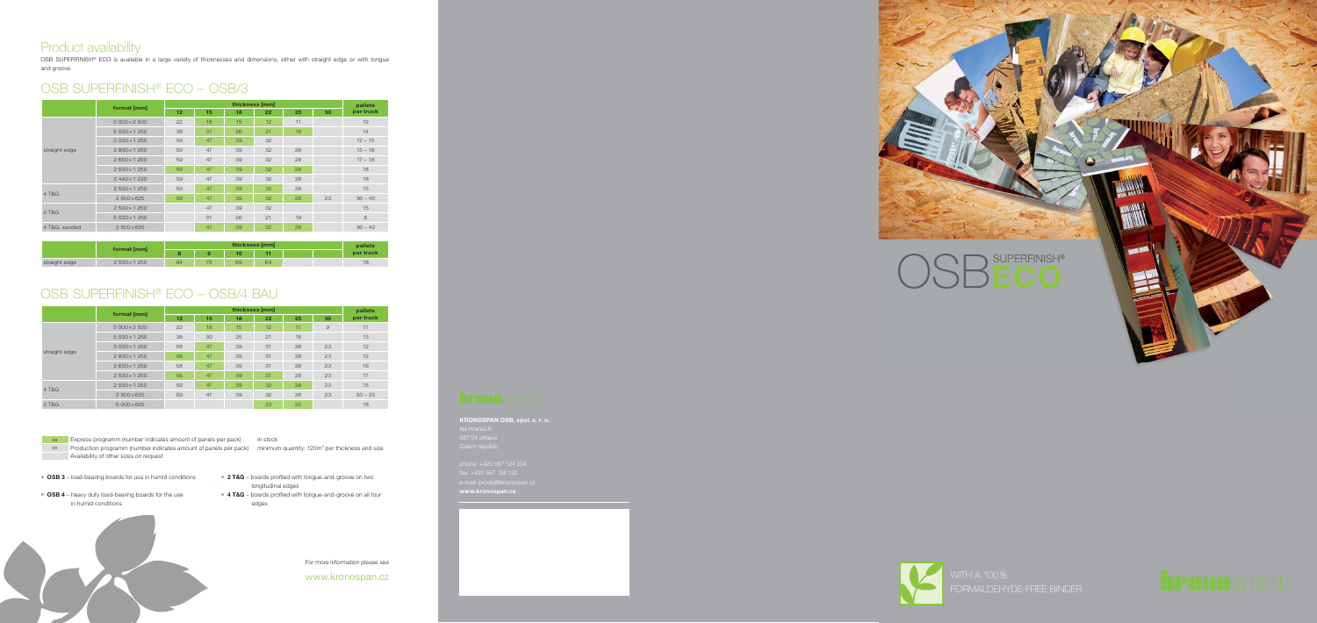### Product availability

OSB SUPERFINISH® ECO is available in a large variety of thicknesses and dimensions, either with straight edge or with tongue and groove.

For more information please see

www.kronospan.cz

#### **format [mm] htickness [mm] particular in thickness [mm] particular 18 particular 18 particular 18 particular 18 particular 18 particular 18 particular 18 particular 18 particular 18 particular 18 12 13** *per truck* straight edge  $5\,000\times2\,500$  22 18 15 12 11 11 12 5 000 × 1 250 38 31 26 21 19 14  $3\,000 \times 1\,250$  59 47 39 32 12 12 12 13 2 800 × 1 250 59 47 39 32 28 15 – 18 2 650 × 1 250 59 47 39 32 28 17 – 18  $2500 \times 1250$ 2 440 × 1 220 59 47 39 32 28 4 T&G 2 500 x 1 250 59 47 39 32 28  $2\,500\times625$  59 47 39 32 28 23 3 2 T&G 2 500 × 1 250 **47** 39 32 5 000 × 1 250 31 26 21 19 8 4 T&G, sanded 2 500 × 625 47 47 39 32 28 36 - 40 OSB SUPERFINISH® ECO – OSB/3

- **OSB 3** load-bearing boards for use in humid conditions
- **OSB 4** heavy duty load-bearing boards for the use in humid conditions



**2 T&G** – boards profiled with tongue-and-groove on two

|               | format [mm]       | thickness [mm] |    |    |    |    | pallets |           |
|---------------|-------------------|----------------|----|----|----|----|---------|-----------|
|               |                   | 12             | 15 | 18 | 22 | 25 | 30      | per truck |
|               | 5 000 × 2 500     | 22             | 18 | 15 | 12 | 11 | 9       | 11        |
|               | 5 000 × 1 250     | 38             | 30 | 25 | 21 | 18 |         | 13        |
| straight edge | 3 000 × 1 250     | 58             | 47 | 39 | 31 | 28 | 23      | 12        |
|               | 2800×1250         | 58             | 47 | 39 | 31 | 28 | 23      | 12        |
|               | 2650×1250         | 58             | 47 | 39 | 31 | 28 | 23      | 16        |
|               | 2500×1250         | 58             | 47 | 39 | 31 | 28 | 23      | 17        |
| 4 T&G         | 2500×1250         | 59             | 47 | 39 | 32 | 28 | 23      | 15        |
|               | $2500\times625$   | 59             | 47 | 39 | 32 | 28 | 23      | $33 - 35$ |
| 2 T&G         | $5000 \times 625$ |                |    |    | 23 | 20 |         | 18        |

|               |             | thickness [mm] |    |    |    |  | pallets |           |
|---------------|-------------|----------------|----|----|----|--|---------|-----------|
|               | format [mm] |                |    |    |    |  |         | per truck |
| straight edge | 2500×1250   | 84             | 75 | 69 | 64 |  |         | 18        |

## OSB SUPERFINISH® ECO – OSB/4 BAU

- longitudinal edges
- **4 T&G** boards profiled with tongue-and-groove on all four edges



xx Production programm (number indicates amount of panels per pack) minimum quantity: 120m<sup>3</sup> per thickness and size **Availability of other sizes on request** 

**KRONOSPAN OSB, spol. s. r. o.** Na Hranici 6 587 04 Jihlava Czech republic

phone: +420 567 124 204 fax: +420 567 124 132 **www.kronospan.cz**